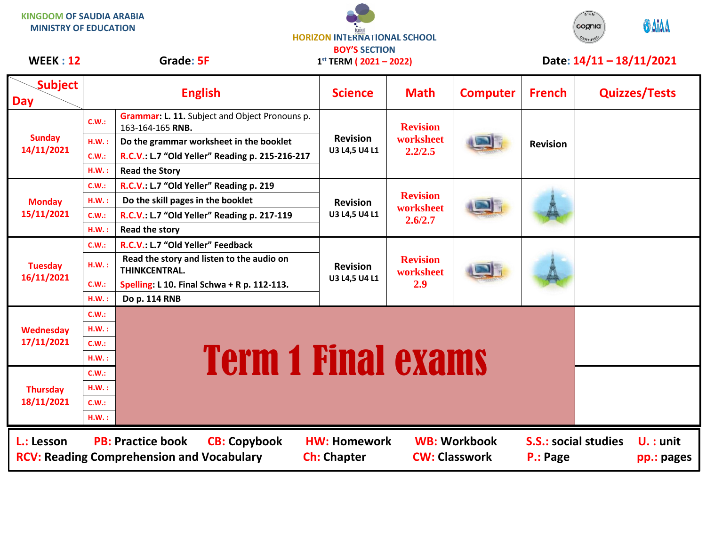**KINGDOM OF SAUDIA ARABIA MINISTRY OF EDUCATION**

ارافوا **HORIZON INTERNATIONAL SCHOOL BOY'S SECTION**



## WEEK : 12 Grade: 5F 1<sup>st</sup> TERM (2021 – 2022) Date: 14/11 – 18/11/2021

| <b>WEEK: 12</b>               |              | Grade: 5F                                                                                           | $1^{st}$ TERM ( $2021 - 2022$ )           |                                         |                     |                                         | Date: $14/11 - 18/11/2021$ |  |
|-------------------------------|--------------|-----------------------------------------------------------------------------------------------------|-------------------------------------------|-----------------------------------------|---------------------|-----------------------------------------|----------------------------|--|
| <b>Subject</b><br><b>Day</b>  |              | <b>English</b>                                                                                      | <b>Science</b>                            | <b>Math</b>                             | <b>Computer</b>     | <b>French</b>                           | <b>Quizzes/Tests</b>       |  |
| <b>Sunday</b><br>14/11/2021   | C.W.:        | Grammar: L. 11. Subject and Object Pronouns p.<br>163-164-165 RNB.                                  | <b>Revision</b><br>U3 L4,5 U4 L1          | <b>Revision</b><br>worksheet<br>2.2/2.5 |                     | <b>Revision</b>                         |                            |  |
|                               | H.W.:        | Do the grammar worksheet in the booklet                                                             |                                           |                                         |                     |                                         |                            |  |
|                               | C.W.:        | R.C.V.: L.7 "Old Yeller" Reading p. 215-216-217                                                     |                                           |                                         |                     |                                         |                            |  |
|                               | H.W.:        | <b>Read the Story</b>                                                                               |                                           |                                         |                     |                                         |                            |  |
|                               | C.W.:        | R.C.V.: L.7 "Old Yeller" Reading p. 219                                                             | <b>Revision</b><br>U3 L4,5 U4 L1          | <b>Revision</b><br>worksheet<br>2.6/2.7 |                     |                                         |                            |  |
| <b>Monday</b><br>15/11/2021   | H.W.:        | Do the skill pages in the booklet                                                                   |                                           |                                         |                     |                                         |                            |  |
|                               | C.W.:        | R.C.V.: L.7 "Old Yeller" Reading p. 217-119                                                         |                                           |                                         |                     |                                         |                            |  |
|                               | H.W.:        | <b>Read the story</b>                                                                               |                                           |                                         |                     |                                         |                            |  |
| <b>Tuesday</b><br>16/11/2021  | C.W.:        | R.C.V.: L.7 "Old Yeller" Feedback                                                                   |                                           | <b>Revision</b><br>worksheet<br>2.9     |                     |                                         |                            |  |
|                               | H.W.:        | Read the story and listen to the audio on<br>THINKCENTRAL.                                          | <b>Revision</b><br>U3 L4,5 U4 L1          |                                         |                     |                                         |                            |  |
|                               | <b>C.W.:</b> | Spelling: L 10. Final Schwa + R p. 112-113.                                                         |                                           |                                         |                     |                                         |                            |  |
|                               | H.W.:        | Do p. 114 RNB                                                                                       |                                           |                                         |                     |                                         |                            |  |
| Wednesday<br>17/11/2021       | C.W.:        |                                                                                                     |                                           |                                         |                     |                                         |                            |  |
|                               | H.W.:        |                                                                                                     |                                           |                                         |                     |                                         |                            |  |
|                               | C.W.:        | <b>Term 1 Final exams</b>                                                                           |                                           |                                         |                     |                                         |                            |  |
|                               | H.W.:        |                                                                                                     |                                           |                                         |                     |                                         |                            |  |
| <b>Thursday</b><br>18/11/2021 | <b>C.W.:</b> |                                                                                                     |                                           |                                         |                     |                                         |                            |  |
|                               | H.W.:        |                                                                                                     |                                           |                                         |                     |                                         |                            |  |
|                               | C.W.:        |                                                                                                     |                                           |                                         |                     |                                         |                            |  |
|                               | H.W.:        |                                                                                                     |                                           |                                         |                     |                                         |                            |  |
| L.: Lesson                    |              | <b>PB: Practice book</b><br><b>CB: Copybook</b><br><b>RCV: Reading Comprehension and Vocabulary</b> | <b>HW: Homework</b><br><b>Ch: Chapter</b> | <b>CW: Classwork</b>                    | <b>WB: Workbook</b> | <b>S.S.: social studies</b><br>P.: Page | $U. :$ unit<br>pp.: pages  |  |